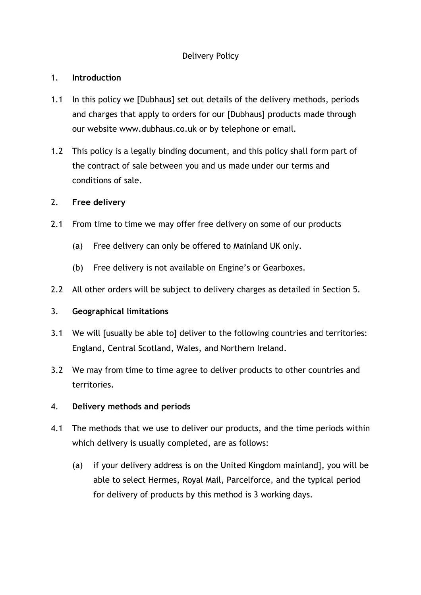# Delivery Policy

### 1. **Introduction**

- 1.1 In this policy we [Dubhaus] set out details of the delivery methods, periods and charges that apply to orders for our [Dubhaus] products made through our website www.dubhaus.co.uk or by telephone or email.
- 1.2 This policy is a legally binding document, and this policy shall form part of the contract of sale between you and us made under our terms and conditions of sale.

### 2. **Free delivery**

- 2.1 From time to time we may offer free delivery on some of our products
	- (a) Free delivery can only be offered to Mainland UK only.
	- (b) Free delivery is not available on Engine's or Gearboxes.
- 2.2 All other orders will be subject to delivery charges as detailed in Section 5.

### 3. **Geographical limitations**

- 3.1 We will [usually be able to] deliver to the following countries and territories: England, Central Scotland, Wales, and Northern Ireland.
- 3.2 We may from time to time agree to deliver products to other countries and territories.

### 4. **Delivery methods and periods**

- 4.1 The methods that we use to deliver our products, and the time periods within which delivery is usually completed, are as follows:
	- (a) if your delivery address is on the United Kingdom mainland], you will be able to select Hermes, Royal Mail, Parcelforce, and the typical period for delivery of products by this method is 3 working days.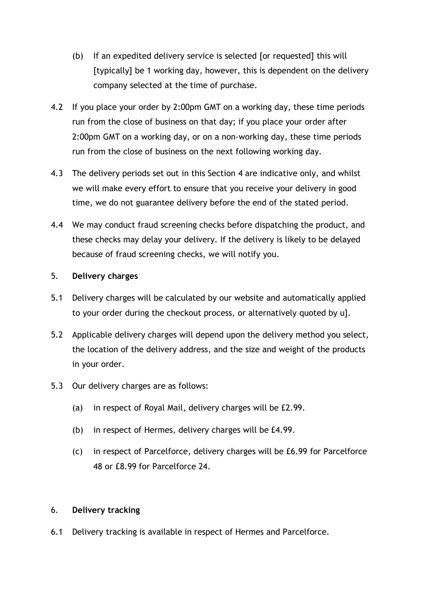- (b) If an expedited delivery service is selected [or requested] this will [typically] be 1 working day, however, this is dependent on the delivery company selected at the time of purchase.
- 4.2 If you place your order by 2:00pm GMT on a working day, these time periods run from the close of business on that day; if you place your order after 2:00pm GMT on a working day, or on a non-working day, these time periods run from the close of business on the next following working day.
- 4.3 The delivery periods set out in this Section 4 are indicative only, and whilst we will make every effort to ensure that you receive your delivery in good time, we do not guarantee delivery before the end of the stated period.
- 4.4 We may conduct fraud screening checks before dispatching the product, and these checks may delay your delivery. If the delivery is likely to be delayed because of fraud screening checks, we will notify you.

#### 5. **Delivery charges**

- 5.1 Delivery charges will be calculated by our website and automatically applied to your order during the checkout process, or alternatively quoted by u].
- 5.2 Applicable delivery charges will depend upon the delivery method you select, the location of the delivery address, and the size and weight of the products in your order.
- 5.3 Our delivery charges are as follows:
	- (a) in respect of Royal Mail, delivery charges will be £2.99.
	- (b) in respect of Hermes, delivery charges will be £4.99.
	- (c) in respect of Parcelforce, delivery charges will be £6.99 for Parcelforce 48 or £8.99 for Parcelforce 24.

### 6. **Delivery tracking**

6.1 Delivery tracking is available in respect of Hermes and Parcelforce.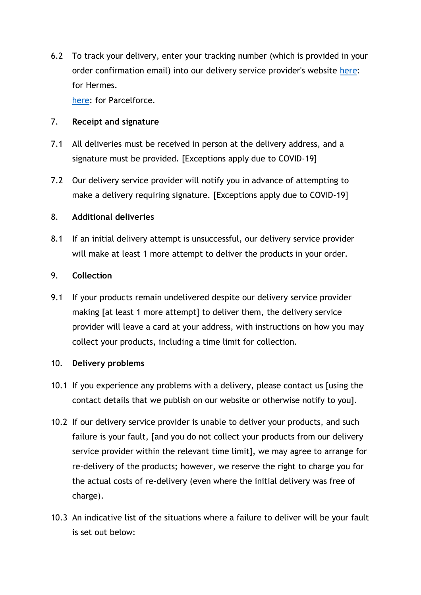6.2 To track your delivery, enter your tracking number (which is provided in your order confirmation email) into our delivery service provider's website [here:](https://www.myhermes.co.uk/track#/) for Hermes.

[here:](https://www.parcelforce.com/track-trace) for Parcelforce.

# 7. **Receipt and signature**

- 7.1 All deliveries must be received in person at the delivery address, and a signature must be provided. [Exceptions apply due to COVID-19]
- 7.2 Our delivery service provider will notify you in advance of attempting to make a delivery requiring signature. [Exceptions apply due to COVID-19]

# 8. **Additional deliveries**

8.1 If an initial delivery attempt is unsuccessful, our delivery service provider will make at least 1 more attempt to deliver the products in your order.

# 9. **Collection**

9.1 If your products remain undelivered despite our delivery service provider making [at least 1 more attempt] to deliver them, the delivery service provider will leave a card at your address, with instructions on how you may collect your products, including a time limit for collection.

### 10. **Delivery problems**

- 10.1 If you experience any problems with a delivery, please contact us [using the contact details that we publish on our website or otherwise notify to you].
- 10.2 If our delivery service provider is unable to deliver your products, and such failure is your fault, [and you do not collect your products from our delivery service provider within the relevant time limit], we may agree to arrange for re-delivery of the products; however, we reserve the right to charge you for the actual costs of re-delivery (even where the initial delivery was free of charge).
- 10.3 An indicative list of the situations where a failure to deliver will be your fault is set out below: